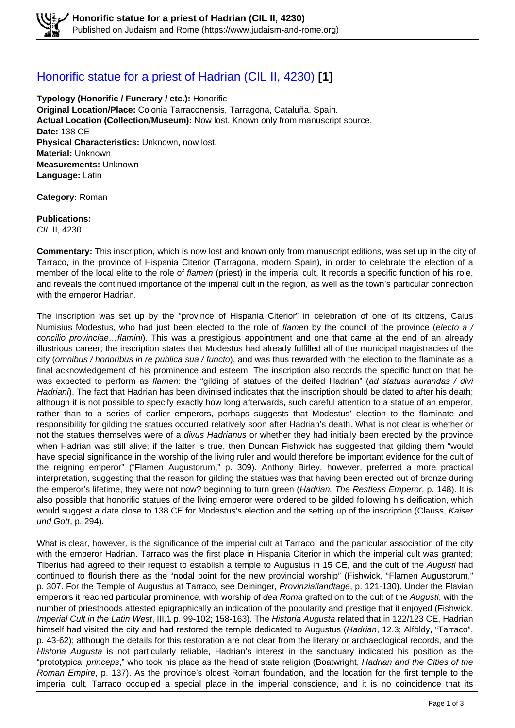### [Honorific statue for a priest of Hadrian \(CIL II, 4230\)](https://www.judaism-and-rome.org/honorific-statue-priest-hadrian-cil-ii-4230) **[1]**

**Typology (Honorific / Funerary / etc.):** Honorific **Original Location/Place:** Colonia Tarraconensis, Tarragona, Cataluña, Spain. **Actual Location (Collection/Museum):** Now lost. Known only from manuscript source. **Date:** 138 CE **Physical Characteristics:** Unknown, now lost. **Material:** Unknown **Measurements:** Unknown **Language:** Latin

**Category:** Roman

#### **Publications:**

CIL II, 4230

**Commentary:** This inscription, which is now lost and known only from manuscript editions, was set up in the city of Tarraco, in the province of Hispania Citerior (Tarragona, modern Spain), in order to celebrate the election of a member of the local elite to the role of *flamen* (priest) in the imperial cult. It records a specific function of his role, and reveals the continued importance of the imperial cult in the region, as well as the town's particular connection with the emperor Hadrian.

The inscription was set up by the "province of Hispania Citerior" in celebration of one of its citizens, Caius Numisius Modestus, who had just been elected to the role of flamen by the council of the province (electo a  $/$ concilio provinciae...flamini). This was a prestigious appointment and one that came at the end of an already illustrious career; the inscription states that Modestus had already fulfilled all of the municipal magistracies of the city (omnibus / honoribus in re publica sua / functo), and was thus rewarded with the election to the flaminate as a final acknowledgement of his prominence and esteem. The inscription also records the specific function that he was expected to perform as flamen: the "gilding of statues of the deifed Hadrian" (ad statuas aurandas / divi Hadriani). The fact that Hadrian has been divinised indicates that the inscription should be dated to after his death; although it is not possible to specify exactly how long afterwards, such careful attention to a statue of an emperor, rather than to a series of earlier emperors, perhaps suggests that Modestus' election to the flaminate and responsibility for gilding the statues occurred relatively soon after Hadrian's death. What is not clear is whether or not the statues themselves were of a divus Hadrianus or whether they had initially been erected by the province when Hadrian was still alive; if the latter is true, then Duncan Fishwick has suggested that gilding them "would have special significance in the worship of the living ruler and would therefore be important evidence for the cult of the reigning emperor" ("Flamen Augustorum," p. 309). Anthony Birley, however, preferred a more practical interpretation, suggesting that the reason for gilding the statues was that having been erected out of bronze during the emperor's lifetime, they were not now? beginning to turn green (Hadrian. The Restless Emperor, p. 148). It is also possible that honorific statues of the living emperor were ordered to be gilded following his deification, which would suggest a date close to 138 CE for Modestus's election and the setting up of the inscription (Clauss, Kaiser und Gott, p. 294).

What is clear, however, is the significance of the imperial cult at Tarraco, and the particular association of the city with the emperor Hadrian. Tarraco was the first place in Hispania Citerior in which the imperial cult was granted; Tiberius had agreed to their request to establish a temple to Augustus in 15 CE, and the cult of the Augusti had continued to flourish there as the "nodal point for the new provincial worship" (Fishwick, "Flamen Augustorum," p. 307. For the Temple of Augustus at Tarraco, see Deininger, Provinziallandtage, p. 121-130). Under the Flavian emperors it reached particular prominence, with worship of dea Roma grafted on to the cult of the Augusti, with the number of priesthoods attested epigraphically an indication of the popularity and prestige that it enjoyed (Fishwick, Imperial Cult in the Latin West, III.1 p. 99-102; 158-163). The Historia Augusta related that in 122/123 CE, Hadrian himself had visited the city and had restored the temple dedicated to Augustus (Hadrian, 12.3; Alföldy, "Tarraco", p. 43-62); although the details for this restoration are not clear from the literary or archaeological records, and the Historia Augusta is not particularly reliable, Hadrian's interest in the sanctuary indicated his position as the "prototypical princeps," who took his place as the head of state religion (Boatwright, Hadrian and the Cities of the Roman Empire, p. 137). As the province's oldest Roman foundation, and the location for the first temple to the imperial cult, Tarraco occupied a special place in the imperial conscience, and it is no coincidence that its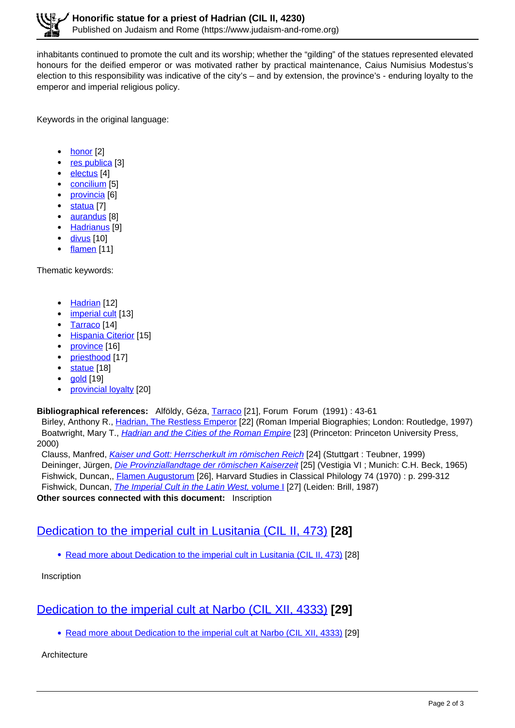inhabitants continued to promote the cult and its worship; whether the "gilding" of the statues represented elevated honours for the deified emperor or was motivated rather by practical maintenance, Caius Numisius Modestus's election to this responsibility was indicative of the city's – and by extension, the province's - enduring loyalty to the emperor and imperial religious policy.

Keywords in the original language:

- honor<sub>[2]</sub>
- res publica [3]
- electus [4]
- concilium [5]
- provincia [6]
- statua [7]
- aurandus [8]
- Hadrianus<sup>[9]</sup>
- $\bullet$  divus [10]
- $\cdot$  flamen [11]

Thematic keywords:

- Hadrian [12]
- imperial cult [13]
- Tarraco [14]
- Hispania Citerior [15]
- province [16]
- priesthood [17]
- statue [18]
- gold [19]
- $\bullet$ provincial loyalty [20]

### **Bibliographical references:** Alföldy, Géza, Tarraco [21], Forum Forum (1991) : 43-61

 Birley, Anthony R., Hadrian, The Restless Emperor [22] (Roman Imperial Biographies; London: Routledge, 1997) Boatwright, Mary T., *Hadrian and the Cities of the Roman Empire* [23] (Princeton: Princeton University Press, 2000)

Clauss, Manfred, *Kaiser und Gott: Herrscherkult im römischen Reich* [24] (Stuttgart : Teubner, 1999) Deininger, Jürgen, *Die Provinziallandtage der römischen Kaiserzeit* [25] (Vestigia VI ; Munich: C.H. Beck, 1965) Fishwick, Duncan,, Flamen Augustorum [26], Harvard Studies in Classical Philology 74 (1970) : p. 299-312 Fishwick, Duncan, *The Imperial Cult in the Latin West, volume I* [27] (Leiden: Brill, 1987)

**Other sources connected with this document:** Inscription

# Dedication to the imperial cult in Lusitania (CIL II, 473) **[28]**

• Read more about Dedication to the imperial cult in Lusitania (CIL II, 473) [28]

Inscription

# Dedication to the imperial cult at Narbo (CIL XII, 4333) **[29]**

• Read more about Dedication to the imperial cult at Narbo (CIL XII, 4333) [29]

**Architecture**